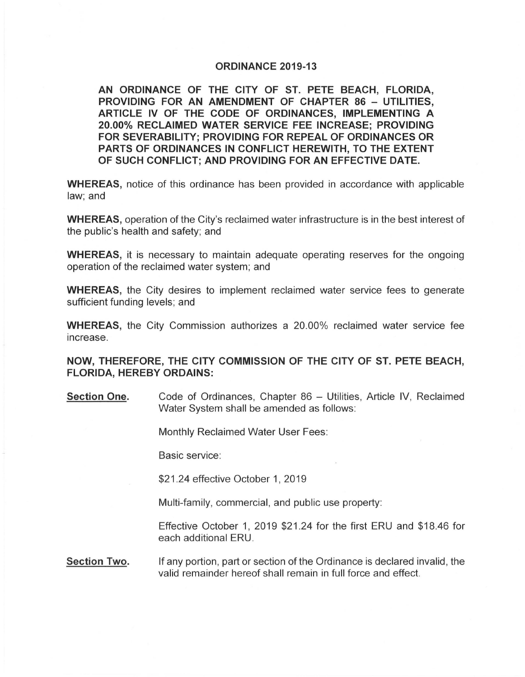## **ORDINANCE 2019-13**

**AN ORDINANCE OF THE CITY OF ST. PETE BEACH, FLORIDA, PROVIDING FOR AN AMENDMENT OF CHAPTER 86 - UTILITIES, ARTICLE IV OF THE CODE OF ORDINANCES, IMPLEMENTING A 20.00% RECLAIMED WATER SERVICE FEE INCREASE; PROVIDING FOR SEVERABILITY; PROVIDING FOR REPEAL OF ORDINANCES OR PARTS OF ORDINANCES IN CONFLICT HEREWITH, TO THE EXTENT OF SUCH CONFLICT; AND PROVIDING FOR AN EFFECTIVE DATE.** 

**WHEREAS,** notice of this ordinance has been provided in accordance with applicable law; and

**WHEREAS,** operation of the City's reclaimed water infrastructure is in the best interest of the public's health and safety; and

**WHEREAS,** it is necessary to maintain adequate operating reserves for the ongoing operation of the reclaimed water system; and

**WHEREAS,** the City desires to implement reclaimed water service fees to generate sufficient funding levels; and

**WHEREAS,** the City Commission authorizes a 20.00% reclaimed water service fee increase.

**NOW, THEREFORE, THE CITY COMMISSION OF THE CITY OF ST. PETE BEACH, FLORIDA, HEREBY ORDAINS:** 

**Section One.** Code of Ordinances, Chapter 86 – Utilities, Article IV, Reclaimed Water System shall be amended as follows:

Monthly Reclaimed Water User Fees:

Basic service:

\$21.24 effective October 1, 2019

Multi-family, commercial, and public use property:

Effective October 1, 2019 \$21 .24 for the first ERU and \$18.46 for each additional ERU.

**Section Two.** If any portion, part or section of the Ordinance is declared invalid, the valid remainder hereof shall remain in full force and effect.